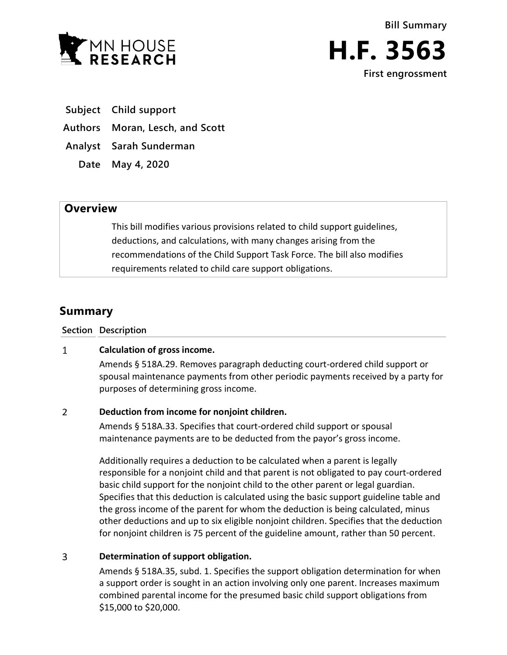



**Subject Child support** 

**Authors Moran, Lesch, and Scott**

**Analyst Sarah Sunderman**

**Date May 4, 2020**

## **Overview**

This bill modifies various provisions related to child support guidelines, deductions, and calculations, with many changes arising from the recommendations of the Child Support Task Force. The bill also modifies requirements related to child care support obligations.

# **Summary**

**Section Description**

#### $\mathbf{1}$ **Calculation of gross income.**

Amends § 518A.29. Removes paragraph deducting court-ordered child support or spousal maintenance payments from other periodic payments received by a party for purposes of determining gross income.

#### $\overline{2}$ **Deduction from income for nonjoint children.**

Amends § 518A.33. Specifies that court-ordered child support or spousal maintenance payments are to be deducted from the payor's gross income.

Additionally requires a deduction to be calculated when a parent is legally responsible for a nonjoint child and that parent is not obligated to pay court-ordered basic child support for the nonjoint child to the other parent or legal guardian. Specifies that this deduction is calculated using the basic support guideline table and the gross income of the parent for whom the deduction is being calculated, minus other deductions and up to six eligible nonjoint children. Specifies that the deduction for nonjoint children is 75 percent of the guideline amount, rather than 50 percent.

#### $\overline{3}$ **Determination of support obligation.**

Amends § 518A.35, subd. 1. Specifies the support obligation determination for when a support order is sought in an action involving only one parent. Increases maximum combined parental income for the presumed basic child support obligations from \$15,000 to \$20,000.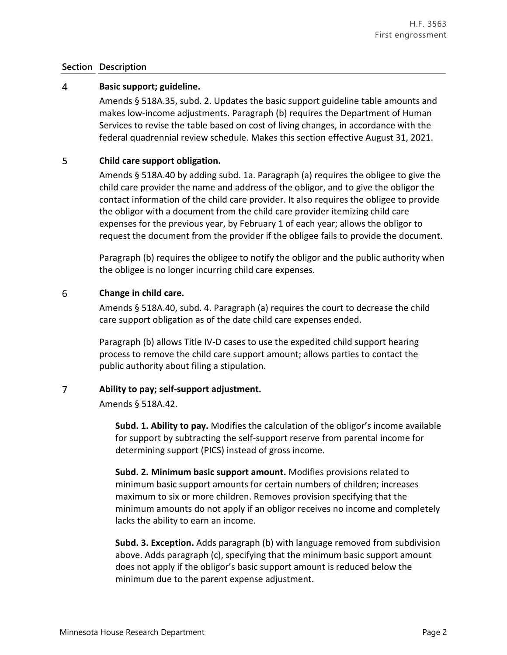### **Section Description**

#### $\overline{4}$ **Basic support; guideline.**

Amends § 518A.35, subd. 2. Updates the basic support guideline table amounts and makes low-income adjustments. Paragraph (b) requires the Department of Human Services to revise the table based on cost of living changes, in accordance with the federal quadrennial review schedule. Makes this section effective August 31, 2021.

#### 5 **Child care support obligation.**

Amends § 518A.40 by adding subd. 1a. Paragraph (a) requires the obligee to give the child care provider the name and address of the obligor, and to give the obligor the contact information of the child care provider. It also requires the obligee to provide the obligor with a document from the child care provider itemizing child care expenses for the previous year, by February 1 of each year; allows the obligor to request the document from the provider if the obligee fails to provide the document.

Paragraph (b) requires the obligee to notify the obligor and the public authority when the obligee is no longer incurring child care expenses.

#### 6 **Change in child care.**

Amends § 518A.40, subd. 4. Paragraph (a) requires the court to decrease the child care support obligation as of the date child care expenses ended.

Paragraph (b) allows Title IV-D cases to use the expedited child support hearing process to remove the child care support amount; allows parties to contact the public authority about filing a stipulation.

#### $\overline{7}$ **Ability to pay; self-support adjustment.**

Amends § 518A.42.

**Subd. 1. Ability to pay.** Modifies the calculation of the obligor's income available for support by subtracting the self-support reserve from parental income for determining support (PICS) instead of gross income.

**Subd. 2. Minimum basic support amount.** Modifies provisions related to minimum basic support amounts for certain numbers of children; increases maximum to six or more children. Removes provision specifying that the minimum amounts do not apply if an obligor receives no income and completely lacks the ability to earn an income.

**Subd. 3. Exception.** Adds paragraph (b) with language removed from subdivision above. Adds paragraph (c), specifying that the minimum basic support amount does not apply if the obligor's basic support amount is reduced below the minimum due to the parent expense adjustment.